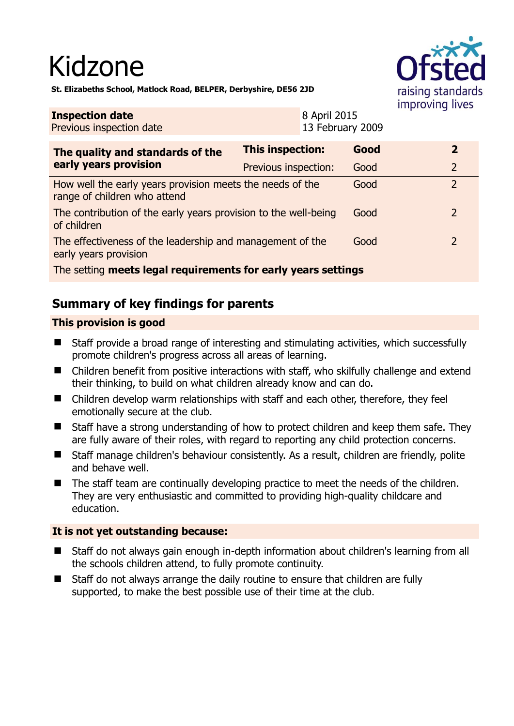# Kidzone

raising standards improving lives

**St. Elizabeths School, Matlock Road, BELPER, Derbyshire, DE56 2JD** 

#### **Inspection date** Previous inspection date 8 April 2015 13 February 2009 **The quality and standards of the early years provision This inspection: Good 2**  Previous inspection: Good 2 How well the early years provision meets the needs of the range of children who attend Good 2 The contribution of the early years provision to the well-being of children Good 2 The effectiveness of the leadership and management of the early years provision Good 2 The setting **meets legal requirements for early years settings**

# **Summary of key findings for parents**

# **This provision is good**

- Staff provide a broad range of interesting and stimulating activities, which successfully promote children's progress across all areas of learning.
- Children benefit from positive interactions with staff, who skilfully challenge and extend their thinking, to build on what children already know and can do.
- Children develop warm relationships with staff and each other, therefore, they feel emotionally secure at the club.
- Staff have a strong understanding of how to protect children and keep them safe. They are fully aware of their roles, with regard to reporting any child protection concerns.
- Staff manage children's behaviour consistently. As a result, children are friendly, polite and behave well.
- The staff team are continually developing practice to meet the needs of the children. They are very enthusiastic and committed to providing high-quality childcare and education.

## **It is not yet outstanding because:**

- Staff do not always gain enough in-depth information about children's learning from all the schools children attend, to fully promote continuity.
- Staff do not always arrange the daily routine to ensure that children are fully supported, to make the best possible use of their time at the club.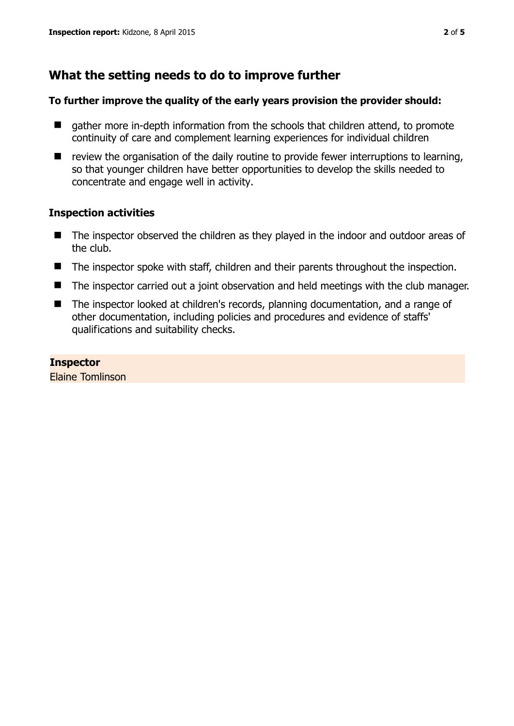# **What the setting needs to do to improve further**

## **To further improve the quality of the early years provision the provider should:**

- **E** gather more in-depth information from the schools that children attend, to promote continuity of care and complement learning experiences for individual children
- $\blacksquare$  review the organisation of the daily routine to provide fewer interruptions to learning, so that younger children have better opportunities to develop the skills needed to concentrate and engage well in activity.

### **Inspection activities**

- The inspector observed the children as they played in the indoor and outdoor areas of the club.
- The inspector spoke with staff, children and their parents throughout the inspection.
- The inspector carried out a joint observation and held meetings with the club manager.
- The inspector looked at children's records, planning documentation, and a range of other documentation, including policies and procedures and evidence of staffs' qualifications and suitability checks.

**Inspector**  Elaine Tomlinson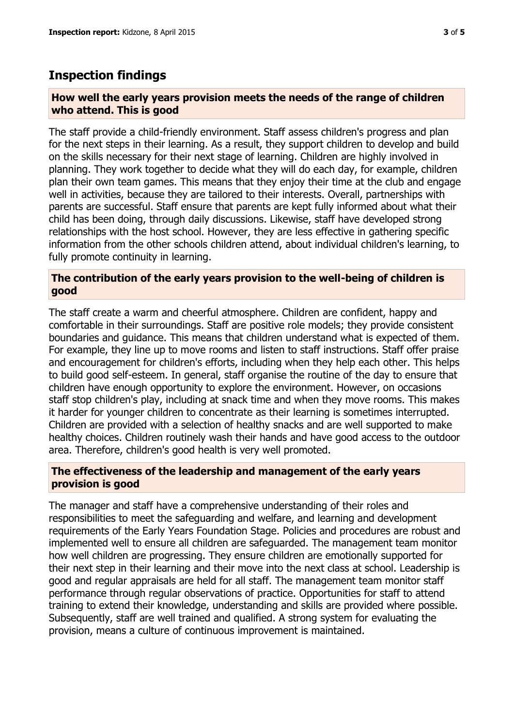# **Inspection findings**

## **How well the early years provision meets the needs of the range of children who attend. This is good**

The staff provide a child-friendly environment. Staff assess children's progress and plan for the next steps in their learning. As a result, they support children to develop and build on the skills necessary for their next stage of learning. Children are highly involved in planning. They work together to decide what they will do each day, for example, children plan their own team games. This means that they enjoy their time at the club and engage well in activities, because they are tailored to their interests. Overall, partnerships with parents are successful. Staff ensure that parents are kept fully informed about what their child has been doing, through daily discussions. Likewise, staff have developed strong relationships with the host school. However, they are less effective in gathering specific information from the other schools children attend, about individual children's learning, to fully promote continuity in learning.

## **The contribution of the early years provision to the well-being of children is good**

The staff create a warm and cheerful atmosphere. Children are confident, happy and comfortable in their surroundings. Staff are positive role models; they provide consistent boundaries and guidance. This means that children understand what is expected of them. For example, they line up to move rooms and listen to staff instructions. Staff offer praise and encouragement for children's efforts, including when they help each other. This helps to build good self-esteem. In general, staff organise the routine of the day to ensure that children have enough opportunity to explore the environment. However, on occasions staff stop children's play, including at snack time and when they move rooms. This makes it harder for younger children to concentrate as their learning is sometimes interrupted. Children are provided with a selection of healthy snacks and are well supported to make healthy choices. Children routinely wash their hands and have good access to the outdoor area. Therefore, children's good health is very well promoted.

# **The effectiveness of the leadership and management of the early years provision is good**

The manager and staff have a comprehensive understanding of their roles and responsibilities to meet the safeguarding and welfare, and learning and development requirements of the Early Years Foundation Stage. Policies and procedures are robust and implemented well to ensure all children are safeguarded. The management team monitor how well children are progressing. They ensure children are emotionally supported for their next step in their learning and their move into the next class at school. Leadership is good and regular appraisals are held for all staff. The management team monitor staff performance through regular observations of practice. Opportunities for staff to attend training to extend their knowledge, understanding and skills are provided where possible. Subsequently, staff are well trained and qualified. A strong system for evaluating the provision, means a culture of continuous improvement is maintained.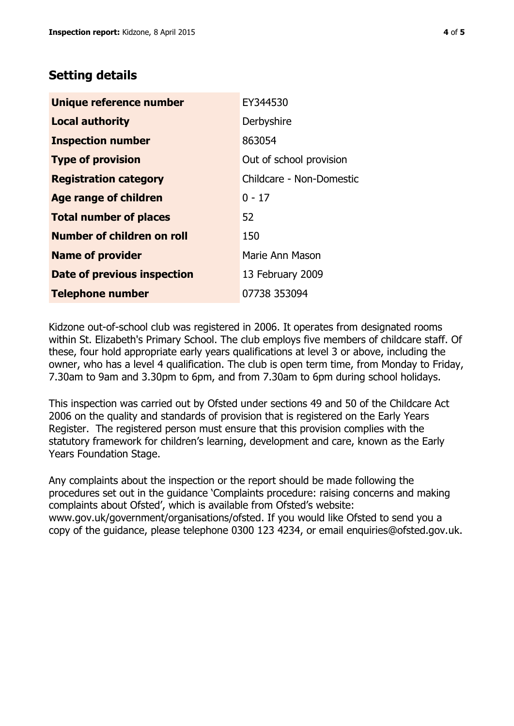# **Setting details**

| Unique reference number       | EY344530                 |
|-------------------------------|--------------------------|
| <b>Local authority</b>        | Derbyshire               |
| <b>Inspection number</b>      | 863054                   |
| <b>Type of provision</b>      | Out of school provision  |
| <b>Registration category</b>  | Childcare - Non-Domestic |
| <b>Age range of children</b>  | $0 - 17$                 |
| <b>Total number of places</b> | 52                       |
| Number of children on roll    | 150                      |
| <b>Name of provider</b>       | Marie Ann Mason          |
| Date of previous inspection   | 13 February 2009         |
| <b>Telephone number</b>       | 07738 353094             |

Kidzone out-of-school club was registered in 2006. It operates from designated rooms within St. Elizabeth's Primary School. The club employs five members of childcare staff. Of these, four hold appropriate early years qualifications at level 3 or above, including the owner, who has a level 4 qualification. The club is open term time, from Monday to Friday, 7.30am to 9am and 3.30pm to 6pm, and from 7.30am to 6pm during school holidays.

This inspection was carried out by Ofsted under sections 49 and 50 of the Childcare Act 2006 on the quality and standards of provision that is registered on the Early Years Register. The registered person must ensure that this provision complies with the statutory framework for children's learning, development and care, known as the Early Years Foundation Stage.

Any complaints about the inspection or the report should be made following the procedures set out in the guidance 'Complaints procedure: raising concerns and making complaints about Ofsted', which is available from Ofsted's website: www.gov.uk/government/organisations/ofsted. If you would like Ofsted to send you a copy of the guidance, please telephone 0300 123 4234, or email enquiries@ofsted.gov.uk.